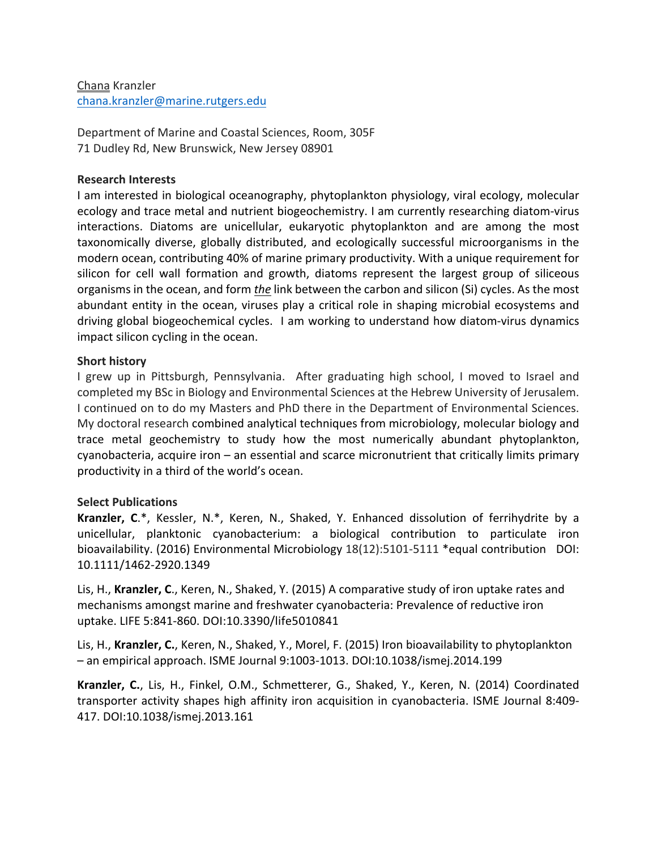## Chana Kranzler chana.kranzler@marine.rutgers.edu

Department of Marine and Coastal Sciences, Room, 305F 71 Dudley Rd, New Brunswick, New Jersey 08901

## **Research Interests**

I am interested in biological oceanography, phytoplankton physiology, viral ecology, molecular ecology and trace metal and nutrient biogeochemistry. I am currently researching diatom-virus interactions. Diatoms are unicellular, eukaryotic phytoplankton and are among the most taxonomically diverse, globally distributed, and ecologically successful microorganisms in the modern ocean, contributing 40% of marine primary productivity. With a unique requirement for silicon for cell wall formation and growth, diatoms represent the largest group of siliceous organisms in the ocean, and form *the* link between the carbon and silicon (Si) cycles. As the most abundant entity in the ocean, viruses play a critical role in shaping microbial ecosystems and driving global biogeochemical cycles. I am working to understand how diatom-virus dynamics impact silicon cycling in the ocean.

## **Short history**

I grew up in Pittsburgh, Pennsylvania. After graduating high school, I moved to Israel and completed my BSc in Biology and Environmental Sciences at the Hebrew University of Jerusalem. I continued on to do my Masters and PhD there in the Department of Environmental Sciences. My doctoral research combined analytical techniques from microbiology, molecular biology and trace metal geochemistry to study how the most numerically abundant phytoplankton, cyanobacteria, acquire iron  $-$  an essential and scarce micronutrient that critically limits primary productivity in a third of the world's ocean.

## **Select Publications**

**Kranzler, C.\***, Kessler, N.\*, Keren, N., Shaked, Y. Enhanced dissolution of ferrihydrite by a unicellular, planktonic cyanobacterium: a biological contribution to particulate iron bioavailability. (2016) Environmental Microbiology  $18(12):5101-5111$  \*equal contribution DOI: 10.1111/1462-2920.1349

Lis, H., Kranzler, C., Keren, N., Shaked, Y. (2015) A comparative study of iron uptake rates and mechanisms amongst marine and freshwater cyanobacteria: Prevalence of reductive iron uptake. LIFE 5:841-860. DOI:10.3390/life5010841

Lis, H., **Kranzler, C.**, Keren, N., Shaked, Y., Morel, F. (2015) Iron bioavailability to phytoplankton  $-$  an empirical approach. ISME Journal 9:1003-1013. DOI:10.1038/ismej.2014.199

**Kranzler, C.**, Lis, H., Finkel, O.M., Schmetterer, G., Shaked, Y., Keren, N. (2014) Coordinated transporter activity shapes high affinity iron acquisition in cyanobacteria. ISME Journal 8:409-417. DOI:10.1038/ismej.2013.161